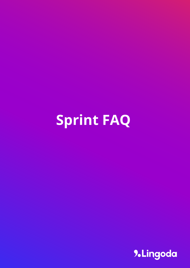# **Sprint FAQ**

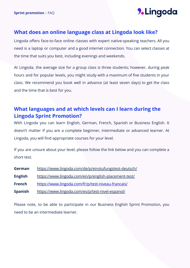### **What does an online language class at Lingoda look like?**

Lingoda offers face-to-face online classes with expert native-speaking teachers. All you need is a laptop or computer and a good internet connection. You can select classes at the time that suits you best, including evenings and weekends.

At Lingoda, the average size for a group class is three students; however, during peak hours and for popular levels, you might study with a maximum of five students in your class. We recommend you book well in advance (at least seven days) to get the class and the time that is best for you.

# **What languages and at which levels can I learn during the Lingoda Sprint Promotion?**

With Lingoda you can learn English, German, French, Spanish or Business English. It doesn't matter if you are a complete beginner, intermediate or advanced learner. At Lingoda, you will find appropriate courses for your level.

If you are unsure about your level, please follow the link below and you can complete a short test.

| German         | https://www.lingoda.com/de/p/einstufungstest-deutsch/ |
|----------------|-------------------------------------------------------|
| <b>English</b> | https://www.lingoda.com/en/p/english-placement-test/  |
| <b>French</b>  | https://www.lingoda.com/fr/p/test-niveau-francais/    |
| <b>Spanish</b> | https://www.lingoda.com/es/p/test-nivel-espanol/      |

Please note, to be able to participate in our Business English Sprint Promotion, you need to be an intermediate learner.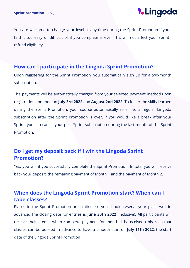You are welcome to change your level at any time during the Sprint Promotion if you find it too easy or difficult or if you complete a level. This will not affect your Sprint refund eligibility.

#### **How can I participate in the Lingoda Sprint Promotion?**

Upon registering for the Sprint Promotion, you automatically sign up for a two-month subscription.

The payments will be automatically charged from your selected payment method upon registration and then on **July 3rd 2022** and **August 2nd 2022**. To foster the skills learned during the Sprint Promotion, your course automatically rolls into a regular Lingoda subscription after the Sprint Promotion is over. If you would like a break after your Sprint, you can cancel your post-Sprint subscription during the last month of the Sprint Promotion.

# **Do I get my deposit back if I win the Lingoda Sprint Promotion?**

Yes, you will if you successfully complete the Sprint Promotion! In total you will receive back your deposit, the remaining payment of Month 1 and the payment of Month 2.

# **When does the Lingoda Sprint Promotion start? When can I take classes?**

Places in the Sprint Promotion are limited, so you should reserve your place well in advance. The closing date for entries is **June 30th 2022** (inclusive). All participants will receive their credits when complete payment for month 1 is received (this is so that classes can be booked in advance to have a smooth start on **July 11th 2022**, the start date of the Lingoda Sprint Promotion).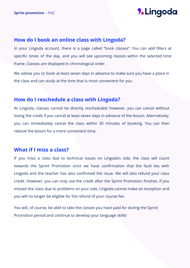#### **How do I book an online class with Lingoda?**

In your Lingoda account, there is a page called "book classes". You can add filters at specific times of the day, and you will see upcoming classes within the selected time frame. Classes are displayed in chronological order.

We advise you to book at least seven days in advance to make sure you have a place in the class and can study at the time that is most convenient for you.

### **How do I reschedule a class with Lingoda?**

At Lingoda, classes cannot be directly rescheduled; however, you can cancel without losing the credit if you cancel at least seven days in advance of the lesson. Alternatively, you can immediately cancel the class within 30 minutes of booking. You can then rebook the lesson for a more convenient time.

#### **What if I miss a class?**

If you miss a class due to technical issues on Lingoda's side, the class will count towards the Sprint Promotion once we have confirmation that the fault lies with Lingoda and the teacher has also confirmed the issue. We will also refund your class credit. However, you can only use the credit after the Sprint Promotion finishes. If you missed the class due to problems on your side, Lingoda cannot make an exception and you will no longer be eligible for the refund of your course fee.

You will, of course, be able to take the classes you have paid for during the Sprint Promotion period and continue to develop your language skills!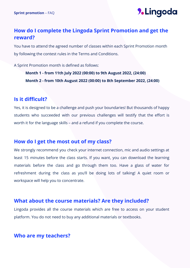# **How do I complete the Lingoda Sprint Promotion and get the reward?**

You have to attend the agreed number of classes within each Sprint Promotion month by following the contest rules in the Terms and Conditions.

A Sprint Promotion month is defined as follows:

**Month 1 - from 11th July 2022 (00:00) to 9th August 2022, (24:00) Month 2 - from 10th August 2022 (00:00) to 8th September 2022, (24:00)**

#### **Is it difficult?**

Yes, it is designed to be a challenge and push your boundaries! But thousands of happy students who succeeded with our previous challenges will testify that the effort is worth it for the language skills – and a refund if you complete the course.

#### **How do I get the most out of my class?**

We strongly recommend you check your internet connection, mic and audio settings at least 15 minutes before the class starts. If you want, you can download the learning materials before the class and go through them too. Have a glass of water for refreshment during the class as you'll be doing lots of talking! A quiet room or workspace will help you to concentrate.

### **What about the course materials? Are they included?**

Lingoda provides all the course materials which are free to access on your student platform. You do not need to buy any additional materials or textbooks.

### **Who are my teachers?**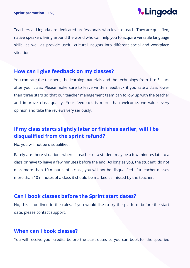Teachers at Lingoda are dedicated professionals who love to teach. They are qualified, native speakers living around the world who can help you to acquire versatile language skills, as well as provide useful cultural insights into different social and workplace situations.

#### **How can I give feedback on my classes?**

You can rate the teachers, the learning materials and the technology from 1 to 5 stars after your class. Please make sure to leave written feedback if you rate a class lower than three stars so that our teacher management team can follow up with the teacher and improve class quality. Your feedback is more than welcome; we value every opinion and take the reviews very seriously.

# **If my class starts slightly later or finishes earlier, will I be disqualified from the sprint refund?**

No, you will not be disqualified.

Rarely are there situations where a teacher or a student may be a few minutes late to a class or have to leave a few minutes before the end. As long as you, the student, do not miss more than 10 minutes of a class, you will not be disqualified. If a teacher misses more than 10 minutes of a class it should be marked as missed by the teacher.

#### **Can I book classes before the Sprint start dates?**

No, this is outlined in the rules. If you would like to try the platform before the start date, please contact support.

### **When can I book classes?**

You will receive your credits before the start dates so you can book for the specified